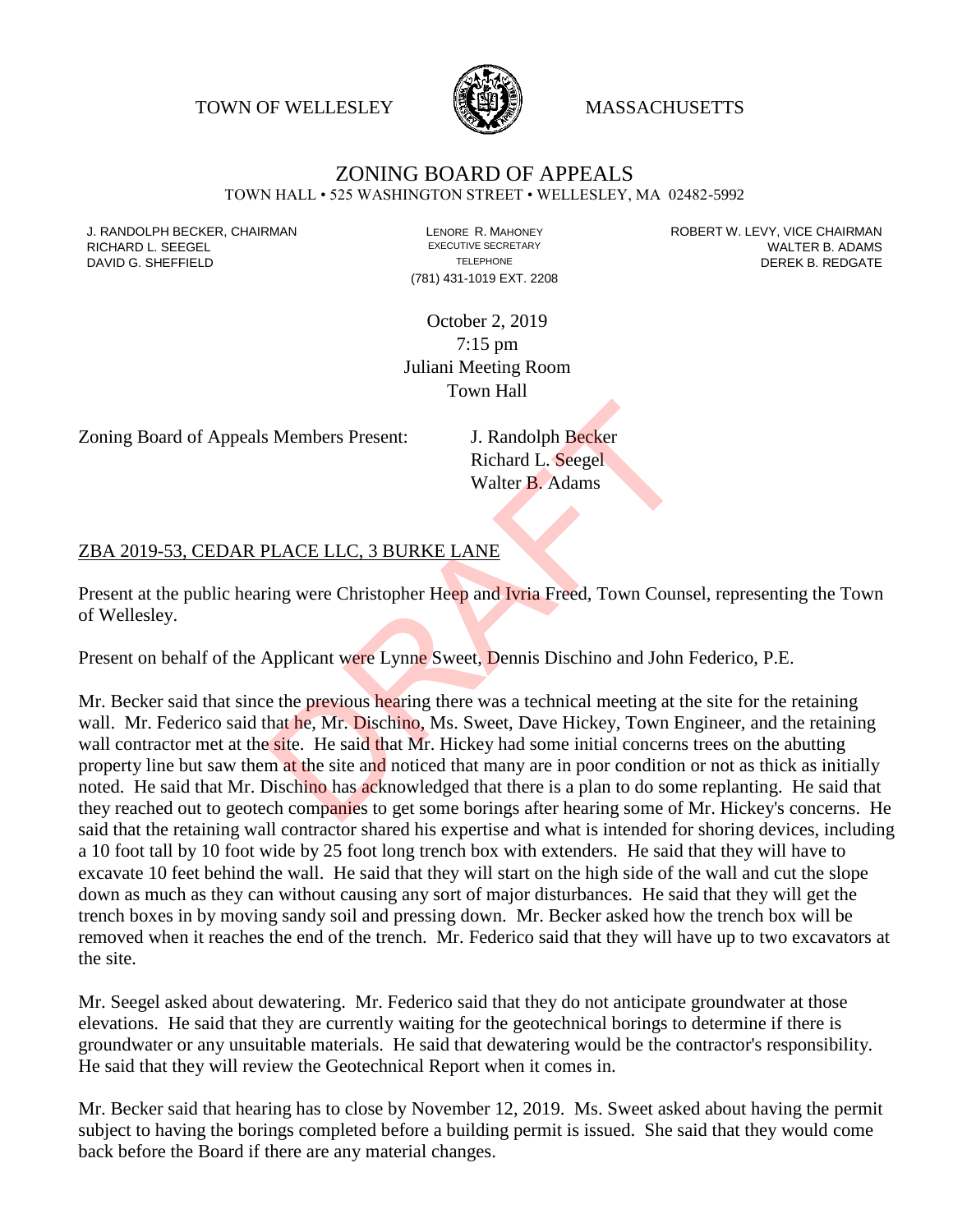TOWN OF WELLESLEY WASSACHUSETTS



## ZONING BOARD OF APPEALS

TOWN HALL • 525 WASHINGTON STREET • WELLESLEY, MA 02482-5992

(781) 431-1019 EXT. 2208

J. RANDOLPH BECKER, CHAIRMAN LAND LENORE R. MAHONEY LENORE RESOLUTIVE SECRETARY LEVY, VICE CHAIRMAN LAND RISPO<br>RICHARD L. SFFGFI LADAMS RICHARD L. SEEGEL **EXECUTIVE SECRETARY CONTROLL SEEGETARY** WALTER B. ADAMS DAVID G. SHEFFIELD **TELEPHONE** TELEPHONE TELEPHONE **TELEPHONE DEREK B. REDGATE** 

> October 2, 2019 7:15 pm Juliani Meeting Room Town Hall

Zoning Board of Appeals Members Present: J. Randolph Becker

Richard L. Seegel Walter B. Adams

## ZBA 2019-53, CEDAR PLACE LLC, 3 BURKE LANE

Present at the public hearing were Christopher Heep and Ivria Freed, Town Counsel, representing the Town of Wellesley.

Present on behalf of the Applicant were Lynne Sweet, Dennis Dischino and John Federico, P.E.

Mr. Becker said that since the previous hearing there was a technical meeting at the site for the retaining wall. Mr. Federico said that he, Mr. Dischino, Ms. Sweet, Dave Hickey, Town Engineer, and the retaining wall contractor met at the site. He said that Mr. Hickey had some initial concerns trees on the abutting property line but saw them at the site and noticed that many are in poor condition or not as thick as initially noted. He said that Mr. Dischino has acknowledged that there is a plan to do some replanting. He said that they reached out to geotech companies to get some borings after hearing some of Mr. Hickey's concerns. He said that the retaining wall contractor shared his expertise and what is intended for shoring devices, including a 10 foot tall by 10 foot wide by 25 foot long trench box with extenders. He said that they will have to excavate 10 feet behind the wall. He said that they will start on the high side of the wall and cut the slope down as much as they can without causing any sort of major disturbances. He said that they will get the trench boxes in by moving sandy soil and pressing down. Mr. Becker asked how the trench box will be removed when it reaches the end of the trench. Mr. Federico said that they will have up to two excavators at the site. S. Members Present:<br>
J. Randolph Becker<br>
Richard L. Seegel<br>
Walter B. Adams<br>
PLACE LLC, 3 BURKE LANE<br>
ring were Christopher Heep and Ivria Freed, Town Couns<br>
Applicant were Lynne Sweet, Dennis Dischino and John<br>
e the prev

Mr. Seegel asked about dewatering. Mr. Federico said that they do not anticipate groundwater at those elevations. He said that they are currently waiting for the geotechnical borings to determine if there is groundwater or any unsuitable materials. He said that dewatering would be the contractor's responsibility. He said that they will review the Geotechnical Report when it comes in.

Mr. Becker said that hearing has to close by November 12, 2019. Ms. Sweet asked about having the permit subject to having the borings completed before a building permit is issued. She said that they would come back before the Board if there are any material changes.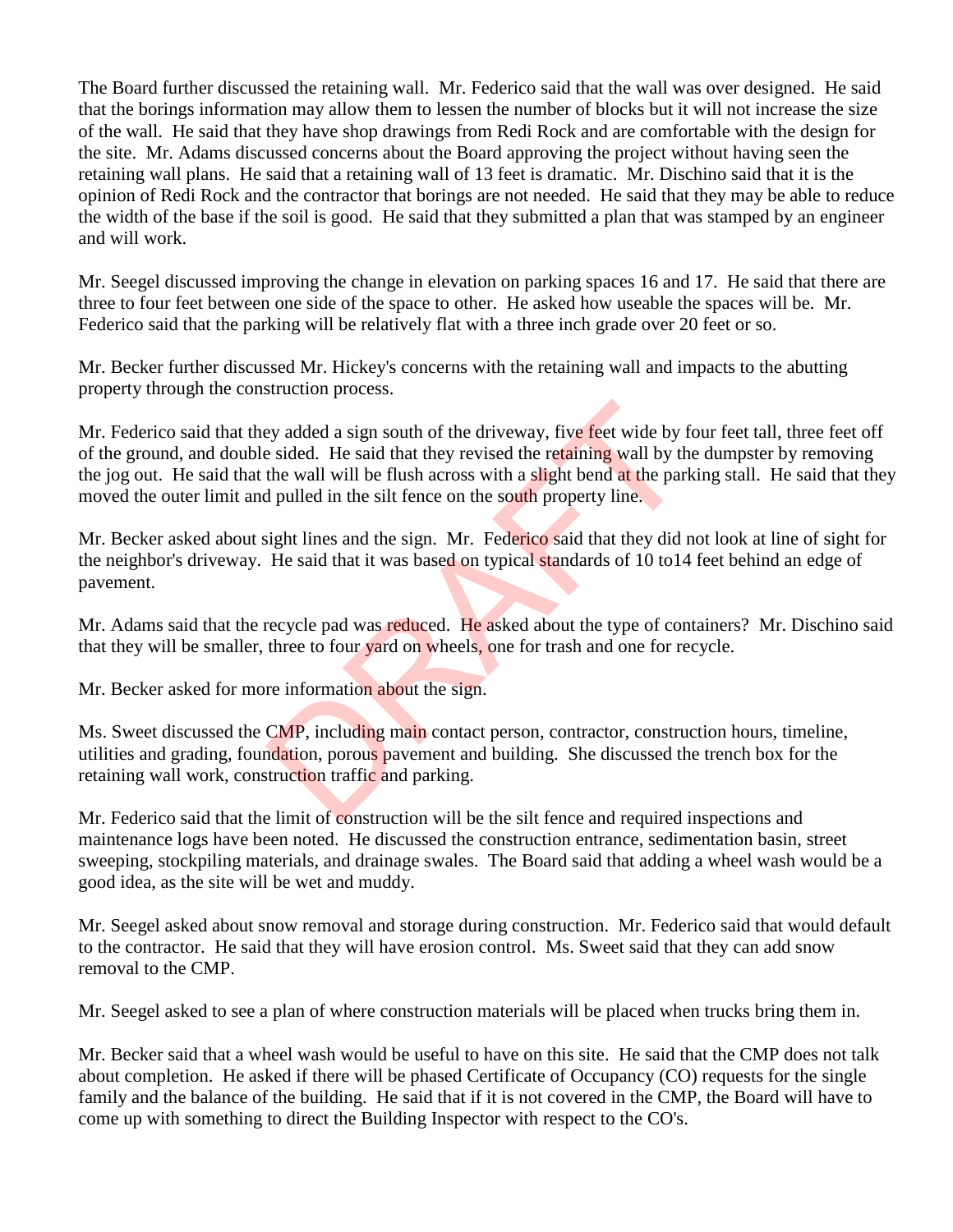The Board further discussed the retaining wall. Mr. Federico said that the wall was over designed. He said that the borings information may allow them to lessen the number of blocks but it will not increase the size of the wall. He said that they have shop drawings from Redi Rock and are comfortable with the design for the site. Mr. Adams discussed concerns about the Board approving the project without having seen the retaining wall plans. He said that a retaining wall of 13 feet is dramatic. Mr. Dischino said that it is the opinion of Redi Rock and the contractor that borings are not needed. He said that they may be able to reduce the width of the base if the soil is good. He said that they submitted a plan that was stamped by an engineer and will work.

Mr. Seegel discussed improving the change in elevation on parking spaces 16 and 17. He said that there are three to four feet between one side of the space to other. He asked how useable the spaces will be. Mr. Federico said that the parking will be relatively flat with a three inch grade over 20 feet or so.

Mr. Becker further discussed Mr. Hickey's concerns with the retaining wall and impacts to the abutting property through the construction process.

Mr. Federico said that they added a sign south of the driveway, five feet wide by four feet tall, three feet off of the ground, and double sided. He said that they revised the retaining wall by the dumpster by removing the jog out. He said that the wall will be flush across with a slight bend at the parking stall. He said that they moved the outer limit and pulled in the silt fence on the south property line. ey added a sign south of the driveway, five feet wide by the sided. He said that they revised the retaining wall by the wall will be flush across with a slight bend at the parl d pulled in the silt fence on the south prope

Mr. Becker asked about sight lines and the sign. Mr. Federico said that they did not look at line of sight for the neighbor's driveway. He said that it was based on typical standards of 10 to14 feet behind an edge of pavement.

Mr. Adams said that the recycle pad was reduced. He asked about the type of containers? Mr. Dischino said that they will be smaller, three to four yard on wheels, one for trash and one for recycle.

Mr. Becker asked for more information about the sign.

Ms. Sweet discussed the CMP, including main contact person, contractor, construction hours, timeline, utilities and grading, foundation, porous pavement and building. She discussed the trench box for the retaining wall work, construction traffic and parking.

Mr. Federico said that the limit of construction will be the silt fence and required inspections and maintenance logs have been noted. He discussed the construction entrance, sedimentation basin, street sweeping, stockpiling materials, and drainage swales. The Board said that adding a wheel wash would be a good idea, as the site will be wet and muddy.

Mr. Seegel asked about snow removal and storage during construction. Mr. Federico said that would default to the contractor. He said that they will have erosion control. Ms. Sweet said that they can add snow removal to the CMP.

Mr. Seegel asked to see a plan of where construction materials will be placed when trucks bring them in.

Mr. Becker said that a wheel wash would be useful to have on this site. He said that the CMP does not talk about completion. He asked if there will be phased Certificate of Occupancy (CO) requests for the single family and the balance of the building. He said that if it is not covered in the CMP, the Board will have to come up with something to direct the Building Inspector with respect to the CO's.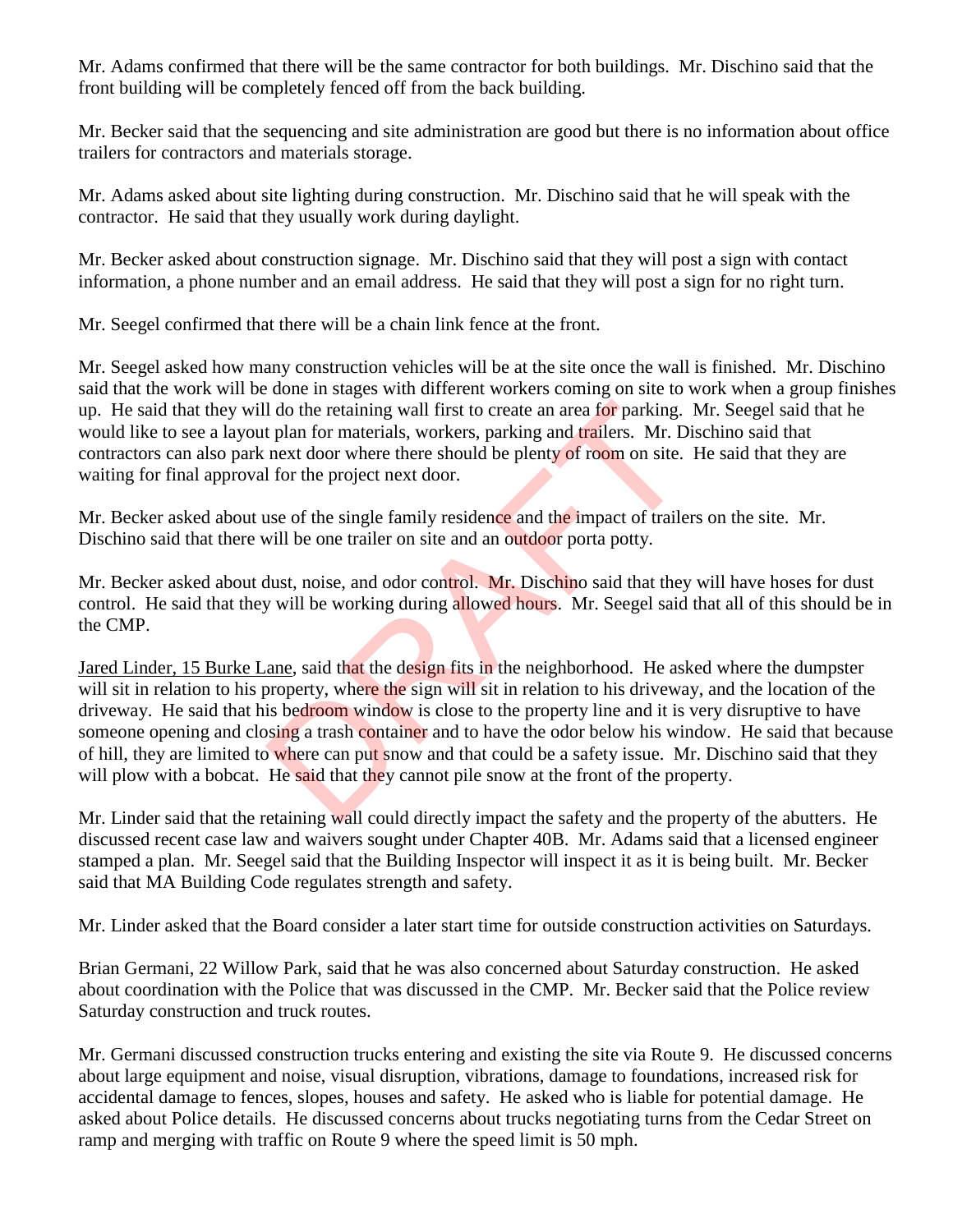Mr. Adams confirmed that there will be the same contractor for both buildings. Mr. Dischino said that the front building will be completely fenced off from the back building.

Mr. Becker said that the sequencing and site administration are good but there is no information about office trailers for contractors and materials storage.

Mr. Adams asked about site lighting during construction. Mr. Dischino said that he will speak with the contractor. He said that they usually work during daylight.

Mr. Becker asked about construction signage. Mr. Dischino said that they will post a sign with contact information, a phone number and an email address. He said that they will post a sign for no right turn.

Mr. Seegel confirmed that there will be a chain link fence at the front.

Mr. Seegel asked how many construction vehicles will be at the site once the wall is finished. Mr. Dischino said that the work will be done in stages with different workers coming on site to work when a group finishes up. He said that they will do the retaining wall first to create an area for parking. Mr. Seegel said that he would like to see a layout plan for materials, workers, parking and trailers. Mr. Dischino said that contractors can also park next door where there should be plenty of room on site. He said that they are waiting for final approval for the project next door.

Mr. Becker asked about use of the single family residence and the impact of trailers on the site. Mr. Dischino said that there will be one trailer on site and an outdoor porta potty.

Mr. Becker asked about dust, noise, and odor control. Mr. Dischino said that they will have hoses for dust control. He said that they will be working during allowed hours. Mr. Seegel said that all of this should be in the CMP.

Jared Linder, 15 Burke Lane, said that the design fits in the neighborhood. He asked where the dumpster will sit in relation to his property, where the sign will sit in relation to his driveway, and the location of the driveway. He said that his bedroom window is close to the property line and it is very disruptive to have someone opening and closing a trash container and to have the odor below his window. He said that because of hill, they are limited to where can put snow and that could be a safety issue. Mr. Dischino said that they will plow with a bobcat. He said that they cannot pile snow at the front of the property. I do the retaining wall first to create an area for parking.<br>
t plan for materials, workers, parking and trailers. Mr. D<br>
next door where there should be plenty of room on site.<br>
I for the project next door.<br>
use of the si

Mr. Linder said that the retaining wall could directly impact the safety and the property of the abutters. He discussed recent case law and waivers sought under Chapter 40B. Mr. Adams said that a licensed engineer stamped a plan. Mr. Seegel said that the Building Inspector will inspect it as it is being built. Mr. Becker said that MA Building Code regulates strength and safety.

Mr. Linder asked that the Board consider a later start time for outside construction activities on Saturdays.

Brian Germani, 22 Willow Park, said that he was also concerned about Saturday construction. He asked about coordination with the Police that was discussed in the CMP. Mr. Becker said that the Police review Saturday construction and truck routes.

Mr. Germani discussed construction trucks entering and existing the site via Route 9. He discussed concerns about large equipment and noise, visual disruption, vibrations, damage to foundations, increased risk for accidental damage to fences, slopes, houses and safety. He asked who is liable for potential damage. He asked about Police details. He discussed concerns about trucks negotiating turns from the Cedar Street on ramp and merging with traffic on Route 9 where the speed limit is 50 mph.